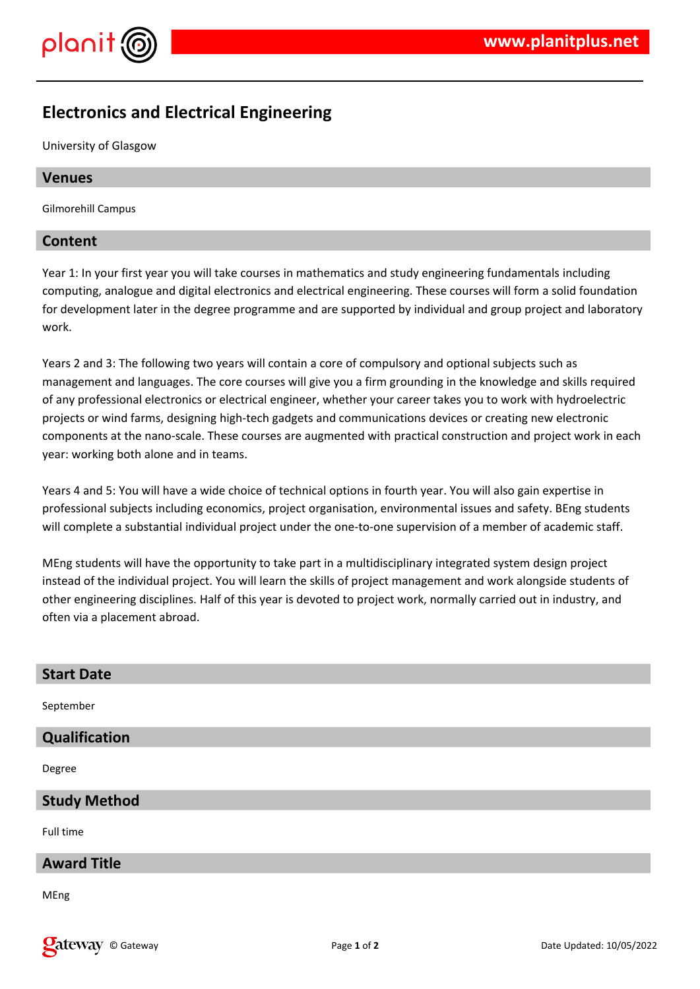

# **Electronics and Electrical Engineering**

University of Glasgow

#### **Venues**

Gilmorehill Campus

#### **Content**

Year 1: In your first year you will take courses in mathematics and study engineering fundamentals including computing, analogue and digital electronics and electrical engineering. These courses will form a solid foundation for development later in the degree programme and are supported by individual and group project and laboratory work.

Years 2 and 3: The following two years will contain a core of compulsory and optional subjects such as management and languages. The core courses will give you a firm grounding in the knowledge and skills required of any professional electronics or electrical engineer, whether your career takes you to work with hydroelectric projects or wind farms, designing high-tech gadgets and communications devices or creating new electronic components at the nano-scale. These courses are augmented with practical construction and project work in each year: working both alone and in teams.

Years 4 and 5: You will have a wide choice of technical options in fourth year. You will also gain expertise in professional subjects including economics, project organisation, environmental issues and safety. BEng students will complete a substantial individual project under the one-to-one supervision of a member of academic staff.

MEng students will have the opportunity to take part in a multidisciplinary integrated system design project instead of the individual project. You will learn the skills of project management and work alongside students of other engineering disciplines. Half of this year is devoted to project work, normally carried out in industry, and often via a placement abroad.

| <b>Start Date</b>    |
|----------------------|
| September            |
| <b>Qualification</b> |
| Degree               |
| <b>Study Method</b>  |
| Full time            |
| <b>Award Title</b>   |
| MEng                 |